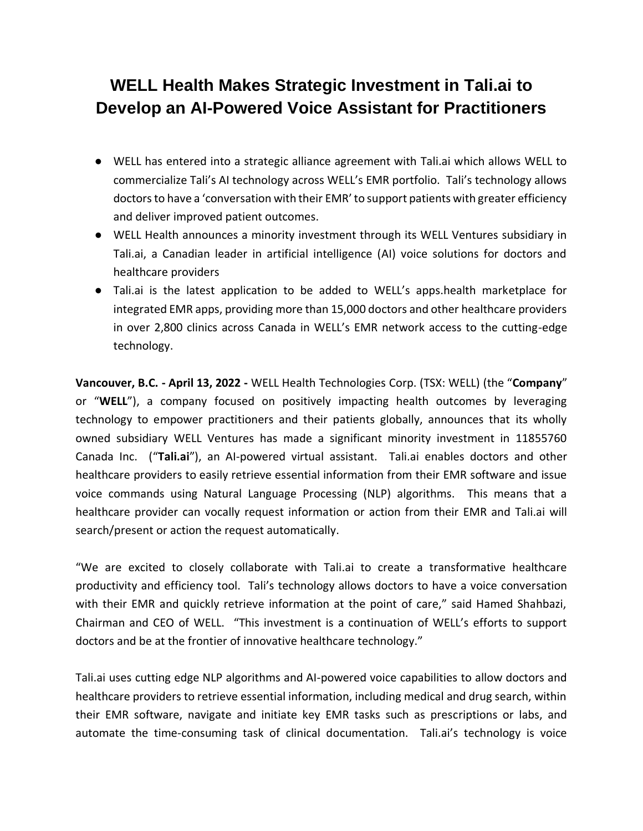# **WELL Health Makes Strategic Investment in Tali.ai to Develop an AI-Powered Voice Assistant for Practitioners**

- WELL has entered into a strategic alliance agreement with Tali.ai which allows WELL to commercialize Tali's AI technology across WELL's EMR portfolio. Tali's technology allows doctors to have a 'conversation with their EMR' to support patients with greater efficiency and deliver improved patient outcomes.
- WELL Health announces a minority investment through its WELL Ventures subsidiary in Tali.ai, a Canadian leader in artificial intelligence (AI) voice solutions for doctors and healthcare providers
- Tali.ai is the latest application to be added to WELL's apps.health marketplace for integrated EMR apps, providing more than 15,000 doctors and other healthcare providers in over 2,800 clinics across Canada in WELL's EMR network access to the cutting-edge technology.

**Vancouver, B.C. - April 13, 2022 -** WELL Health Technologies Corp. (TSX: WELL) (the "**Company**" or "**WELL**"), a company focused on positively impacting health outcomes by leveraging technology to empower practitioners and their patients globally, announces that its wholly owned subsidiary WELL Ventures has made a significant minority investment in 11855760 Canada Inc. ("**Tali.ai**"), an AI-powered virtual assistant. Tali.ai enables doctors and other healthcare providers to easily retrieve essential information from their EMR software and issue voice commands using Natural Language Processing (NLP) algorithms. This means that a healthcare provider can vocally request information or action from their EMR and Tali.ai will search/present or action the request automatically.

"We are excited to closely collaborate with Tali.ai to create a transformative healthcare productivity and efficiency tool. Tali's technology allows doctors to have a voice conversation with their EMR and quickly retrieve information at the point of care," said Hamed Shahbazi, Chairman and CEO of WELL. "This investment is a continuation of WELL's efforts to support doctors and be at the frontier of innovative healthcare technology."

Tali.ai uses cutting edge NLP algorithms and AI-powered voice capabilities to allow doctors and healthcare providers to retrieve essential information, including medical and drug search, within their EMR software, navigate and initiate key EMR tasks such as prescriptions or labs, and automate the time-consuming task of clinical documentation. Tali.ai's technology is voice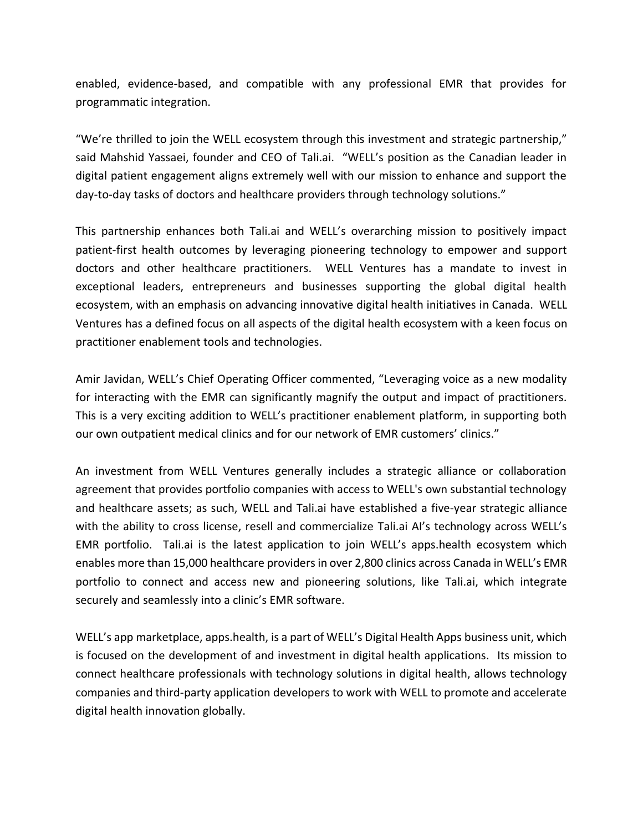enabled, evidence-based, and compatible with any professional EMR that provides for programmatic integration.

"We're thrilled to join the WELL ecosystem through this investment and strategic partnership," said Mahshid Yassaei, founder and CEO of Tali.ai. "WELL's position as the Canadian leader in digital patient engagement aligns extremely well with our mission to enhance and support the day-to-day tasks of doctors and healthcare providers through technology solutions."

This partnership enhances both Tali.ai and WELL's overarching mission to positively impact patient-first health outcomes by leveraging pioneering technology to empower and support doctors and other healthcare practitioners. WELL Ventures has a mandate to invest in exceptional leaders, entrepreneurs and businesses supporting the global digital health ecosystem, with an emphasis on advancing innovative digital health initiatives in Canada. WELL Ventures has a defined focus on all aspects of the digital health ecosystem with a keen focus on practitioner enablement tools and technologies.

Amir Javidan, WELL's Chief Operating Officer commented, "Leveraging voice as a new modality for interacting with the EMR can significantly magnify the output and impact of practitioners. This is a very exciting addition to WELL's practitioner enablement platform, in supporting both our own outpatient medical clinics and for our network of EMR customers' clinics."

An investment from WELL Ventures generally includes a strategic alliance or collaboration agreement that provides portfolio companies with access to WELL's own substantial technology and healthcare assets; as such, WELL and Tali.ai have established a five-year strategic alliance with the ability to cross license, resell and commercialize Tali.ai AI's technology across WELL's EMR portfolio. Tali.ai is the latest application to join WELL's apps.health ecosystem which enables more than 15,000 healthcare providers in over 2,800 clinics across Canada in WELL's EMR portfolio to connect and access new and pioneering solutions, like Tali.ai, which integrate securely and seamlessly into a clinic's EMR software.

WELL's app marketplace, apps.health, is a part of WELL's Digital Health Apps business unit, which is focused on the development of and investment in digital health applications. Its mission to connect healthcare professionals with technology solutions in digital health, allows technology companies and third-party application developers to work with WELL to promote and accelerate digital health innovation globally.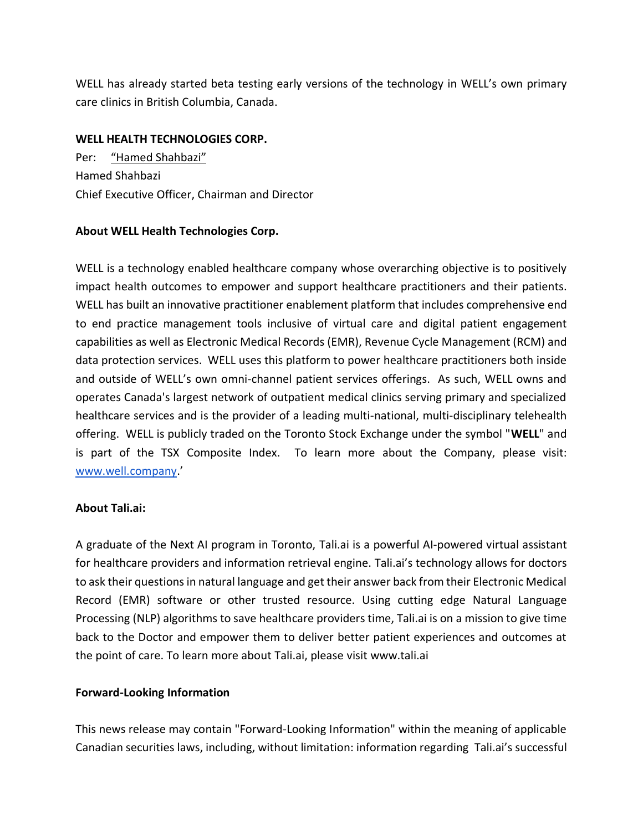WELL has already started beta testing early versions of the technology in WELL's own primary care clinics in British Columbia, Canada.

## **WELL HEALTH TECHNOLOGIES CORP.**

Per: "Hamed Shahbazi" Hamed Shahbazi Chief Executive Officer, Chairman and Director

## **About WELL Health Technologies Corp.**

WELL is a technology enabled healthcare company whose overarching objective is to positively impact health outcomes to empower and support healthcare practitioners and their patients. WELL has built an innovative practitioner enablement platform that includes comprehensive end to end practice management tools inclusive of virtual care and digital patient engagement capabilities as well as Electronic Medical Records (EMR), Revenue Cycle Management (RCM) and data protection services. WELL uses this platform to power healthcare practitioners both inside and outside of WELL's own omni-channel patient services offerings. As such, WELL owns and operates Canada's largest network of outpatient medical clinics serving primary and specialized healthcare services and is the provider of a leading multi-national, multi-disciplinary telehealth offering. WELL is publicly traded on the Toronto Stock Exchange under the symbol "**WELL**" and is part of the TSX Composite Index. To learn more about the Company, please visit: [www.well.company](https://well.company/).'

## **About Tali.ai:**

A graduate of the Next AI program in Toronto, Tali.ai is a powerful AI-powered virtual assistant for healthcare providers and information retrieval engine. Tali.ai's technology allows for doctors to ask their questions in natural language and get their answer back from their Electronic Medical Record (EMR) software or other trusted resource. Using cutting edge Natural Language Processing (NLP) algorithms to save healthcare providers time, Tali.ai is on a mission to give time back to the Doctor and empower them to deliver better patient experiences and outcomes at the point of care. To learn more about Tali.ai, please visit www.tali.ai

## **Forward-Looking Information**

This news release may contain "Forward-Looking Information" within the meaning of applicable Canadian securities laws, including, without limitation: information regarding Tali.ai's successful